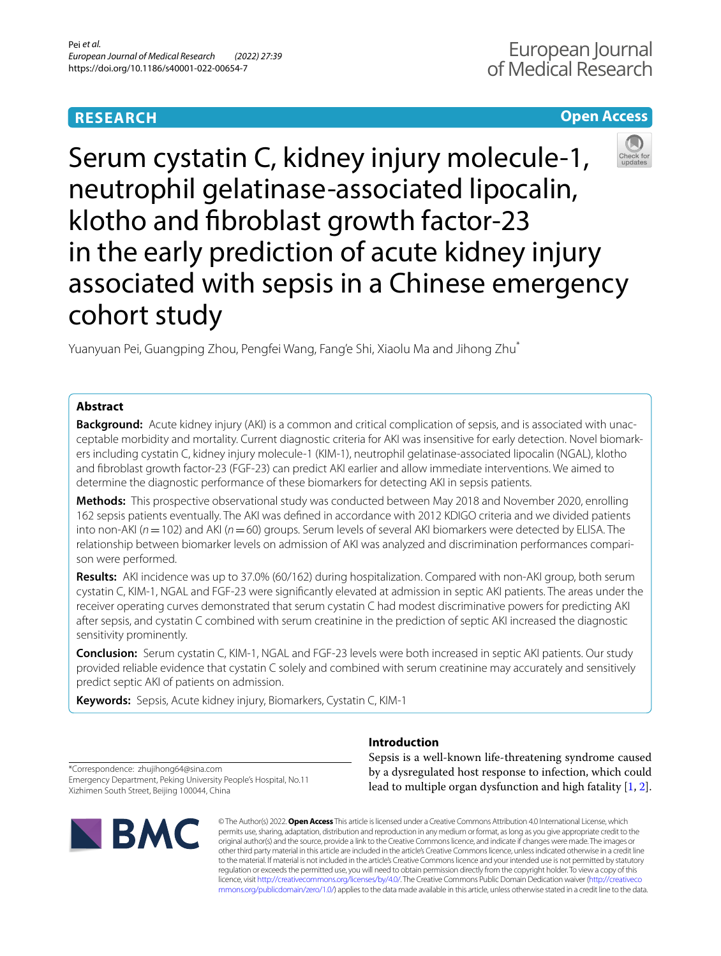# **RESEARCH**

# **Open Access**



Serum cystatin C, kidney injury molecule-1, neutrophil gelatinase-associated lipocalin, klotho and fbroblast growth factor-23 in the early prediction of acute kidney injury associated with sepsis in a Chinese emergency cohort study

Yuanyuan Pei, Guangping Zhou, Pengfei Wang, Fang'e Shi, Xiaolu Ma and Jihong Zhu\*

# **Abstract**

**Background:** Acute kidney injury (AKI) is a common and critical complication of sepsis, and is associated with unacceptable morbidity and mortality. Current diagnostic criteria for AKI was insensitive for early detection. Novel biomarkers including cystatin C, kidney injury molecule-1 (KIM-1), neutrophil gelatinase-associated lipocalin (NGAL), klotho and fbroblast growth factor-23 (FGF-23) can predict AKI earlier and allow immediate interventions. We aimed to determine the diagnostic performance of these biomarkers for detecting AKI in sepsis patients.

**Methods:** This prospective observational study was conducted between May 2018 and November 2020, enrolling 162 sepsis patients eventually. The AKI was defned in accordance with 2012 KDIGO criteria and we divided patients into non-AKI (*n*=102) and AKI (*n*=60) groups. Serum levels of several AKI biomarkers were detected by ELISA. The relationship between biomarker levels on admission of AKI was analyzed and discrimination performances comparison were performed.

**Results:** AKI incidence was up to 37.0% (60/162) during hospitalization. Compared with non-AKI group, both serum cystatin C, KIM-1, NGAL and FGF-23 were signifcantly elevated at admission in septic AKI patients. The areas under the receiver operating curves demonstrated that serum cystatin C had modest discriminative powers for predicting AKI after sepsis, and cystatin C combined with serum creatinine in the prediction of septic AKI increased the diagnostic sensitivity prominently.

**Conclusion:** Serum cystatin C, KIM-1, NGAL and FGF-23 levels were both increased in septic AKI patients. Our study provided reliable evidence that cystatin C solely and combined with serum creatinine may accurately and sensitively predict septic AKI of patients on admission.

**Keywords:** Sepsis, Acute kidney injury, Biomarkers, Cystatin C, KIM-1

## **Introduction**

\*Correspondence: zhujihong64@sina.com Emergency Department, Peking University People's Hospital, No.11 Xizhimen South Street, Beijing 100044, China



Sepsis is a well-known life-threatening syndrome caused by a dysregulated host response to infection, which could lead to multiple organ dysfunction and high fatality [[1,](#page-6-0) [2](#page-6-1)].

© The Author(s) 2022. **Open Access** This article is licensed under a Creative Commons Attribution 4.0 International License, which permits use, sharing, adaptation, distribution and reproduction in any medium or format, as long as you give appropriate credit to the original author(s) and the source, provide a link to the Creative Commons licence, and indicate if changes were made. The images or other third party material in this article are included in the article's Creative Commons licence, unless indicated otherwise in a credit line to the material. If material is not included in the article's Creative Commons licence and your intended use is not permitted by statutory regulation or exceeds the permitted use, you will need to obtain permission directly from the copyright holder. To view a copy of this licence, visit [http://creativecommons.org/licenses/by/4.0/.](http://creativecommons.org/licenses/by/4.0/) The Creative Commons Public Domain Dedication waiver ([http://creativeco](http://creativecommons.org/publicdomain/zero/1.0/) [mmons.org/publicdomain/zero/1.0/](http://creativecommons.org/publicdomain/zero/1.0/)) applies to the data made available in this article, unless otherwise stated in a credit line to the data.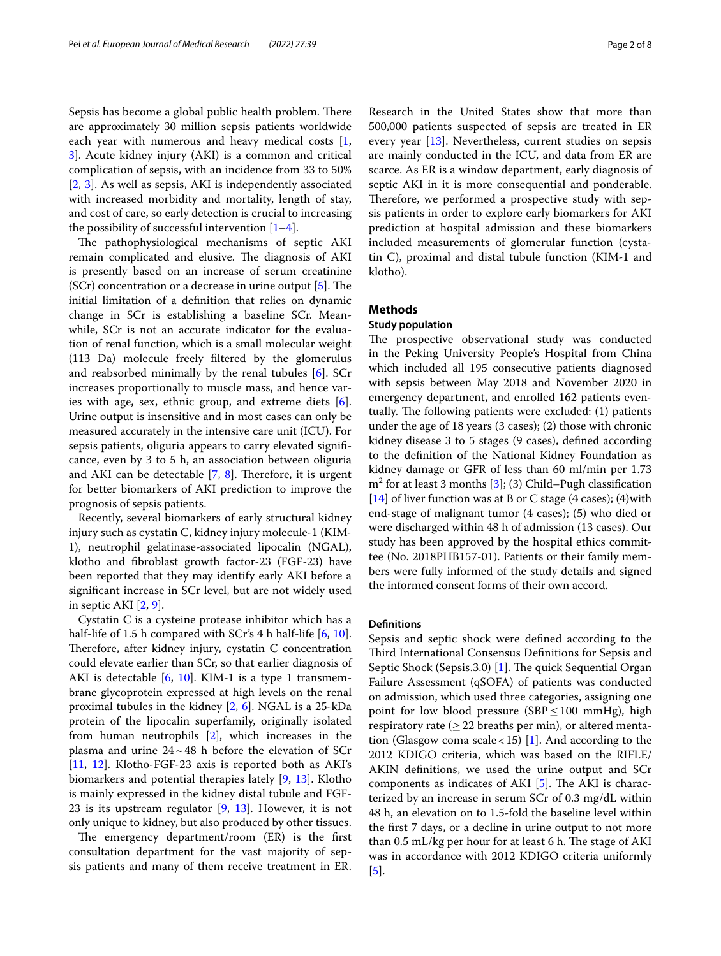Sepsis has become a global public health problem. There are approximately 30 million sepsis patients worldwide each year with numerous and heavy medical costs [\[1](#page-6-0), [3\]](#page-6-2). Acute kidney injury (AKI) is a common and critical complication of sepsis, with an incidence from 33 to 50% [[2,](#page-6-1) [3\]](#page-6-2). As well as sepsis, AKI is independently associated with increased morbidity and mortality, length of stay, and cost of care, so early detection is crucial to increasing the possibility of successful intervention  $[1-4]$  $[1-4]$  $[1-4]$ .

The pathophysiological mechanisms of septic AKI remain complicated and elusive. The diagnosis of AKI is presently based on an increase of serum creatinine  $(SCr)$  concentration or a decrease in urine output  $[5]$  $[5]$ . The initial limitation of a defnition that relies on dynamic change in SCr is establishing a baseline SCr. Meanwhile, SCr is not an accurate indicator for the evaluation of renal function, which is a small molecular weight (113 Da) molecule freely fltered by the glomerulus and reabsorbed minimally by the renal tubules [[6\]](#page-7-0). SCr increases proportionally to muscle mass, and hence varies with age, sex, ethnic group, and extreme diets [\[6](#page-7-0)]. Urine output is insensitive and in most cases can only be measured accurately in the intensive care unit (ICU). For sepsis patients, oliguria appears to carry elevated signifcance, even by 3 to 5 h, an association between oliguria and AKI can be detectable  $[7, 8]$  $[7, 8]$  $[7, 8]$ . Therefore, it is urgent for better biomarkers of AKI prediction to improve the prognosis of sepsis patients.

Recently, several biomarkers of early structural kidney injury such as cystatin C, kidney injury molecule-1 (KIM-1), neutrophil gelatinase-associated lipocalin (NGAL), klotho and fbroblast growth factor-23 (FGF-23) have been reported that they may identify early AKI before a signifcant increase in SCr level, but are not widely used in septic AKI [[2,](#page-6-1) [9](#page-7-3)].

Cystatin C is a cysteine protease inhibitor which has a half-life of 1.5 h compared with SCr's 4 h half-life [\[6](#page-7-0), [10](#page-7-4)]. Therefore, after kidney injury, cystatin  $C$  concentration could elevate earlier than SCr, so that earlier diagnosis of AKI is detectable [\[6](#page-7-0), [10\]](#page-7-4). KIM-1 is a type 1 transmembrane glycoprotein expressed at high levels on the renal proximal tubules in the kidney [[2,](#page-6-1) [6\]](#page-7-0). NGAL is a 25-kDa protein of the lipocalin superfamily, originally isolated from human neutrophils [\[2](#page-6-1)], which increases in the plasma and urine  $24 \sim 48$  h before the elevation of SCr [[11,](#page-7-5) [12\]](#page-7-6). Klotho-FGF-23 axis is reported both as AKI's biomarkers and potential therapies lately [\[9](#page-7-3), [13\]](#page-7-7). Klotho is mainly expressed in the kidney distal tubule and FGF-23 is its upstream regulator [[9,](#page-7-3) [13\]](#page-7-7). However, it is not only unique to kidney, but also produced by other tissues.

The emergency department/room (ER) is the first consultation department for the vast majority of sepsis patients and many of them receive treatment in ER.

Research in the United States show that more than 500,000 patients suspected of sepsis are treated in ER every year [\[13\]](#page-7-7). Nevertheless, current studies on sepsis are mainly conducted in the ICU, and data from ER are scarce. As ER is a window department, early diagnosis of septic AKI in it is more consequential and ponderable. Therefore, we performed a prospective study with sepsis patients in order to explore early biomarkers for AKI prediction at hospital admission and these biomarkers included measurements of glomerular function (cystatin C), proximal and distal tubule function (KIM-1 and klotho).

### **Methods**

### **Study population**

The prospective observational study was conducted in the Peking University People's Hospital from China which included all 195 consecutive patients diagnosed with sepsis between May 2018 and November 2020 in emergency department, and enrolled 162 patients eventually. The following patients were excluded: (1) patients under the age of 18 years (3 cases); (2) those with chronic kidney disease 3 to 5 stages (9 cases), defned according to the defnition of the National Kidney Foundation as kidney damage or GFR of less than 60 ml/min per 1.73 m2 for at least 3 months [[3\]](#page-6-2); (3) Child–Pugh classifcation [[14\]](#page-7-8) of liver function was at B or C stage (4 cases); (4)with end-stage of malignant tumor (4 cases); (5) who died or were discharged within 48 h of admission (13 cases). Our study has been approved by the hospital ethics committee (No. 2018PHB157-01). Patients or their family members were fully informed of the study details and signed the informed consent forms of their own accord.

### **Defnitions**

Sepsis and septic shock were defned according to the Third International Consensus Definitions for Sepsis and Septic Shock (Sepsis.3.0) [[1\]](#page-6-0). The quick Sequential Organ Failure Assessment (qSOFA) of patients was conducted on admission, which used three categories, assigning one point for low blood pressure (SBP ≤ 100 mmHg), high respiratory rate ( $\geq$  22 breaths per min), or altered menta-tion (Glasgow coma scale < 15) [\[1](#page-6-0)]. And according to the 2012 KDIGO criteria, which was based on the RIFLE/ AKIN defnitions, we used the urine output and SCr components as indicates of AKI  $[5]$  $[5]$ . The AKI is characterized by an increase in serum SCr of 0.3 mg/dL within 48 h, an elevation on to 1.5-fold the baseline level within the frst 7 days, or a decline in urine output to not more than 0.5 mL/kg per hour for at least 6 h. The stage of AKI was in accordance with 2012 KDIGO criteria uniformly [[5\]](#page-6-4).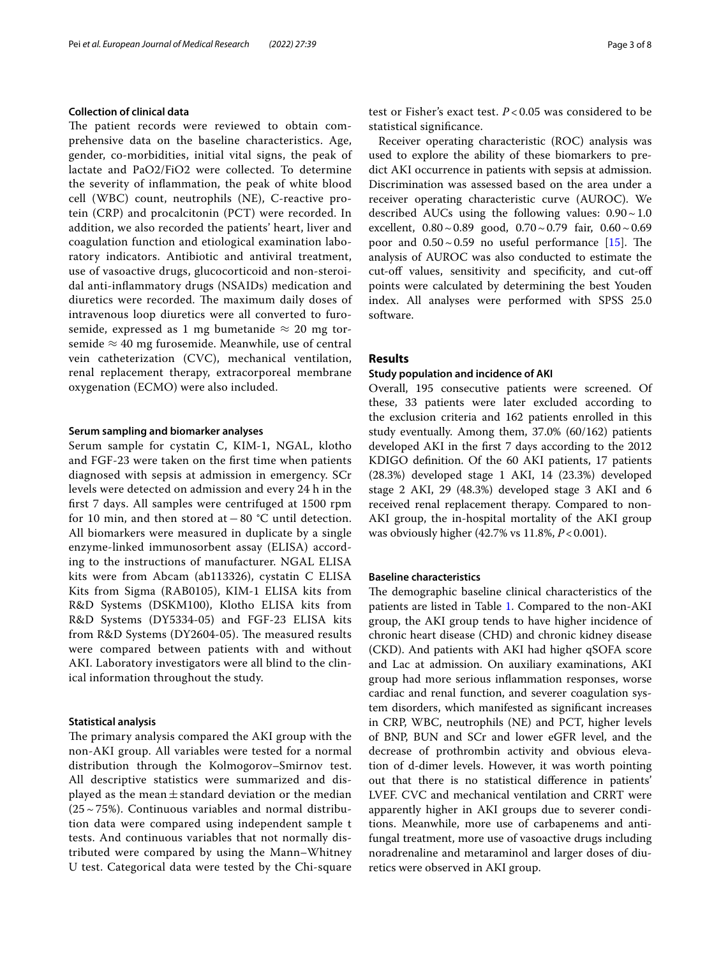### **Collection of clinical data**

The patient records were reviewed to obtain comprehensive data on the baseline characteristics. Age, gender, co-morbidities, initial vital signs, the peak of lactate and PaO2/FiO2 were collected. To determine the severity of infammation, the peak of white blood cell (WBC) count, neutrophils (NE), C-reactive protein (CRP) and procalcitonin (PCT) were recorded. In addition, we also recorded the patients' heart, liver and coagulation function and etiological examination laboratory indicators. Antibiotic and antiviral treatment, use of vasoactive drugs, glucocorticoid and non-steroidal anti-infammatory drugs (NSAIDs) medication and diuretics were recorded. The maximum daily doses of intravenous loop diuretics were all converted to furosemide, expressed as 1 mg bumetanide  $\approx$  20 mg torsemide  $\approx$  40 mg furosemide. Meanwhile, use of central vein catheterization (CVC), mechanical ventilation, renal replacement therapy, extracorporeal membrane oxygenation (ECMO) were also included.

### **Serum sampling and biomarker analyses**

Serum sample for cystatin C, KIM-1, NGAL, klotho and FGF-23 were taken on the frst time when patients diagnosed with sepsis at admission in emergency. SCr levels were detected on admission and every 24 h in the frst 7 days. All samples were centrifuged at 1500 rpm for 10 min, and then stored at−80 °C until detection. All biomarkers were measured in duplicate by a single enzyme-linked immunosorbent assay (ELISA) according to the instructions of manufacturer. NGAL ELISA kits were from Abcam (ab113326), cystatin C ELISA Kits from Sigma (RAB0105), KIM-1 ELISA kits from R&D Systems (DSKM100), Klotho ELISA kits from R&D Systems (DY5334-05) and FGF-23 ELISA kits from R&D Systems (DY2604-05). The measured results were compared between patients with and without AKI. Laboratory investigators were all blind to the clinical information throughout the study.

### **Statistical analysis**

The primary analysis compared the AKI group with the non-AKI group. All variables were tested for a normal distribution through the Kolmogorov–Smirnov test. All descriptive statistics were summarized and displayed as the mean $\pm$ standard deviation or the median  $(25~15%)$ . Continuous variables and normal distribution data were compared using independent sample t tests. And continuous variables that not normally distributed were compared by using the Mann–Whitney U test. Categorical data were tested by the Chi-square test or Fisher's exact test. *P* < 0.05 was considered to be statistical signifcance.

Receiver operating characteristic (ROC) analysis was used to explore the ability of these biomarkers to predict AKI occurrence in patients with sepsis at admission. Discrimination was assessed based on the area under a receiver operating characteristic curve (AUROC). We described AUCs using the following values:  $0.90 \sim 1.0$ excellent,  $0.80 \sim 0.89$  good,  $0.70 \sim 0.79$  fair,  $0.60 \sim 0.69$ poor and  $0.50 \sim 0.59$  no useful performance [[15\]](#page-7-9). The analysis of AUROC was also conducted to estimate the cut-off values, sensitivity and specificity, and cut-off points were calculated by determining the best Youden index. All analyses were performed with SPSS 25.0 software.

### **Results**

### **Study population and incidence of AKI**

Overall, 195 consecutive patients were screened. Of these, 33 patients were later excluded according to the exclusion criteria and 162 patients enrolled in this study eventually. Among them, 37.0% (60/162) patients developed AKI in the frst 7 days according to the 2012 KDIGO defnition. Of the 60 AKI patients, 17 patients (28.3%) developed stage 1 AKI, 14 (23.3%) developed stage 2 AKI, 29 (48.3%) developed stage 3 AKI and 6 received renal replacement therapy. Compared to non-AKI group, the in-hospital mortality of the AKI group was obviously higher (42.7% vs 11.8%, *P*<0.001).

### **Baseline characteristics**

The demographic baseline clinical characteristics of the patients are listed in Table [1.](#page-3-0) Compared to the non-AKI group, the AKI group tends to have higher incidence of chronic heart disease (CHD) and chronic kidney disease (CKD). And patients with AKI had higher qSOFA score and Lac at admission. On auxiliary examinations, AKI group had more serious infammation responses, worse cardiac and renal function, and severer coagulation system disorders, which manifested as signifcant increases in CRP, WBC, neutrophils (NE) and PCT, higher levels of BNP, BUN and SCr and lower eGFR level, and the decrease of prothrombin activity and obvious elevation of d-dimer levels. However, it was worth pointing out that there is no statistical diference in patients' LVEF. CVC and mechanical ventilation and CRRT were apparently higher in AKI groups due to severer conditions. Meanwhile, more use of carbapenems and antifungal treatment, more use of vasoactive drugs including noradrenaline and metaraminol and larger doses of diuretics were observed in AKI group.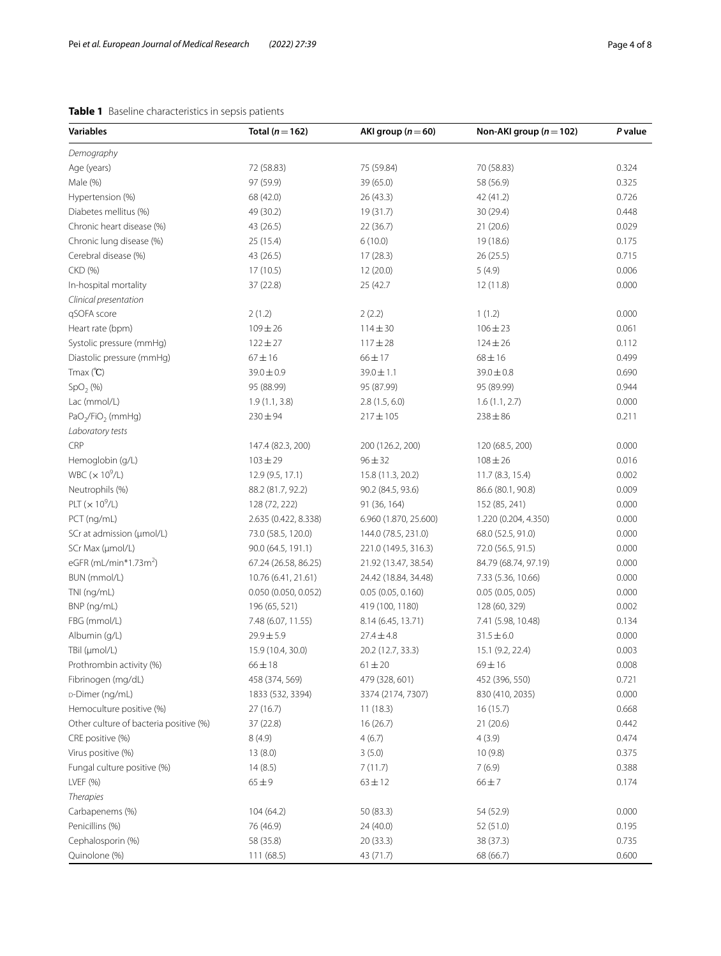## <span id="page-3-0"></span>**Table 1** Baseline characteristics in sepsis patients

| <b>Variables</b>                               | Total ( $n = 162$ )           | AKI group ( $n = 60$ )              | Non-AKI group ( $n = 102$ )   | P value        |
|------------------------------------------------|-------------------------------|-------------------------------------|-------------------------------|----------------|
| Demography                                     |                               |                                     |                               |                |
| Age (years)                                    | 72 (58.83)                    | 75 (59.84)                          | 70 (58.83)                    | 0.324          |
| Male (%)                                       | 97 (59.9)                     | 39 (65.0)                           | 58 (56.9)                     | 0.325          |
| Hypertension (%)                               | 68 (42.0)                     | 26(43.3)                            | 42 (41.2)                     | 0.726          |
| Diabetes mellitus (%)                          | 49 (30.2)                     | 19 (31.7)                           | 30 (29.4)                     | 0.448          |
| Chronic heart disease (%)                      | 43 (26.5)                     | 22(36.7)                            | 21(20.6)                      | 0.029          |
| Chronic lung disease (%)                       | 25 (15.4)                     | 6(10.0)                             | 19 (18.6)                     | 0.175          |
| Cerebral disease (%)                           | 43 (26.5)                     | 17(28.3)                            | 26(25.5)                      | 0.715          |
| CKD (%)                                        | 17(10.5)                      | 12(20.0)                            | 5(4.9)                        | 0.006          |
| In-hospital mortality                          | 37 (22.8)                     | 25 (42.7                            | 12 (11.8)                     | 0.000          |
| Clinical presentation                          |                               |                                     |                               |                |
| qSOFA score                                    | 2(1.2)                        | 2(2.2)                              | 1(1.2)                        | 0.000          |
| Heart rate (bpm)                               | $109 \pm 26$                  | $114 \pm 30$                        | $106 \pm 23$                  | 0.061          |
| Systolic pressure (mmHg)                       | $122 \pm 27$                  | $117 + 28$                          | $124 \pm 26$                  | 0.112          |
| Diastolic pressure (mmHg)                      | $67 \pm 16$                   | $66 \pm 17$                         | $68 \pm 16$                   | 0.499          |
| $T$ max $(C)$                                  | $39.0 \pm 0.9$                | $39.0 \pm 1.1$                      | $39.0 \pm 0.8$                | 0.690          |
| SpO <sub>2</sub> (%)                           | 95 (88.99)                    | 95 (87.99)                          | 95 (89.99)                    | 0.944          |
| Lac (mmol/L)                                   | 1.9(1.1, 3.8)                 | 2.8(1.5, 6.0)                       | 1.6(1.1, 2.7)                 | 0.000          |
| $PaO2/FiO2$ (mmHg)                             | $230 \pm 94$                  | $217 \pm 105$                       | $238 \pm 86$                  | 0.211          |
| Laboratory tests                               |                               |                                     |                               |                |
| CRP                                            | 147.4 (82.3, 200)             | 200 (126.2, 200)                    | 120 (68.5, 200)               | 0.000          |
| Hemoglobin (g/L)                               | $103 \pm 29$                  | $96 \pm 32$                         | $108 \pm 26$                  | 0.016          |
| WBC $(x 10^9/L)$                               | 12.9 (9.5, 17.1)              | 15.8 (11.3, 20.2)                   | 11.7 (8.3, 15.4)              | 0.002          |
| Neutrophils (%)                                | 88.2 (81.7, 92.2)             | 90.2 (84.5, 93.6)                   | 86.6 (80.1, 90.8)             | 0.009          |
| PLT $(x 10^9/L)$                               | 128 (72, 222)                 | 91 (36, 164)                        | 152 (85, 241)                 | 0.000          |
| PCT (ng/mL)                                    | 2.635 (0.422, 8.338)          | 6.960 (1.870, 25.600)               | 1.220 (0.204, 4.350)          | 0.000          |
| SCr at admission (µmol/L)                      | 73.0 (58.5, 120.0)            | 144.0 (78.5, 231.0)                 | 68.0 (52.5, 91.0)             | 0.000          |
| SCr Max (µmol/L)                               | 90.0 (64.5, 191.1)            | 221.0 (149.5, 316.3)                | 72.0 (56.5, 91.5)             | 0.000          |
| eGFR (mL/min*1.73m <sup>2</sup> )              | 67.24 (26.58, 86.25)          | 21.92 (13.47, 38.54)                | 84.79 (68.74, 97.19)          | 0.000          |
| BUN (mmol/L)                                   | 10.76 (6.41, 21.61)           | 24.42 (18.84, 34.48)                | 7.33 (5.36, 10.66)            | 0.000          |
| TNI (ng/mL)                                    | 0.050 (0.050, 0.052)          | 0.05(0.05, 0.160)                   | 0.05(0.05, 0.05)              | 0.000          |
| BNP (ng/mL)                                    | 196 (65, 521)                 | 419 (100, 1180)                     | 128 (60, 329)                 | 0.002          |
| FBG (mmol/L)                                   | 7.48 (6.07, 11.55)            | 8.14 (6.45, 13.71)                  | 7.41 (5.98, 10.48)            | 0.134          |
| Albumin (g/L)                                  | $29.9 \pm 5.9$                | $27.4 \pm 4.8$                      | $31.5 \pm 6.0$                | 0.000          |
| TBil (µmol/L)                                  | 15.9 (10.4, 30.0)             | 20.2 (12.7, 33.3)                   | 15.1 (9.2, 22.4)              | 0.003          |
|                                                |                               |                                     |                               |                |
| Prothrombin activity (%)<br>Fibrinogen (mg/dL) | $66 \pm 18$<br>458 (374, 569) | $61 \pm 20$                         | $69 \pm 16$<br>452 (396, 550) | 0.008<br>0.721 |
| D-Dimer (ng/mL)                                | 1833 (532, 3394)              | 479 (328, 601)<br>3374 (2174, 7307) | 830 (410, 2035)               | 0.000          |
|                                                | 27(16.7)                      |                                     |                               |                |
| Hemoculture positive (%)                       |                               | 11(18.3)                            | 16(15.7)                      | 0.668          |
| Other culture of bacteria positive (%)         | 37 (22.8)                     | 16(26.7)                            | 21(20.6)                      | 0.442          |
| CRE positive (%)                               | 8(4.9)                        | 4(6.7)                              | 4(3.9)                        | 0.474          |
| Virus positive (%)                             | 13(8.0)                       | 3(5.0)                              | 10(9.8)                       | 0.375<br>0.388 |
| Fungal culture positive (%)                    | 14(8.5)                       | 7(11.7)                             | 7(6.9)                        |                |
| LVEF (%)                                       | $65 + 9$                      | $63 \pm 12$                         | $66 \pm 7$                    | 0.174          |
| <b>Therapies</b>                               |                               |                                     |                               |                |
| Carbapenems (%)                                | 104 (64.2)                    | 50 (83.3)                           | 54 (52.9)                     | 0.000          |
| Penicillins (%)                                | 76 (46.9)                     | 24 (40.0)                           | 52 (51.0)                     | 0.195          |
| Cephalosporin (%)                              | 58 (35.8)                     | 20(33.3)                            | 38 (37.3)                     | 0.735          |
| Quinolone (%)                                  | 111(68.5)                     | 43 (71.7)                           | 68 (66.7)                     | 0.600          |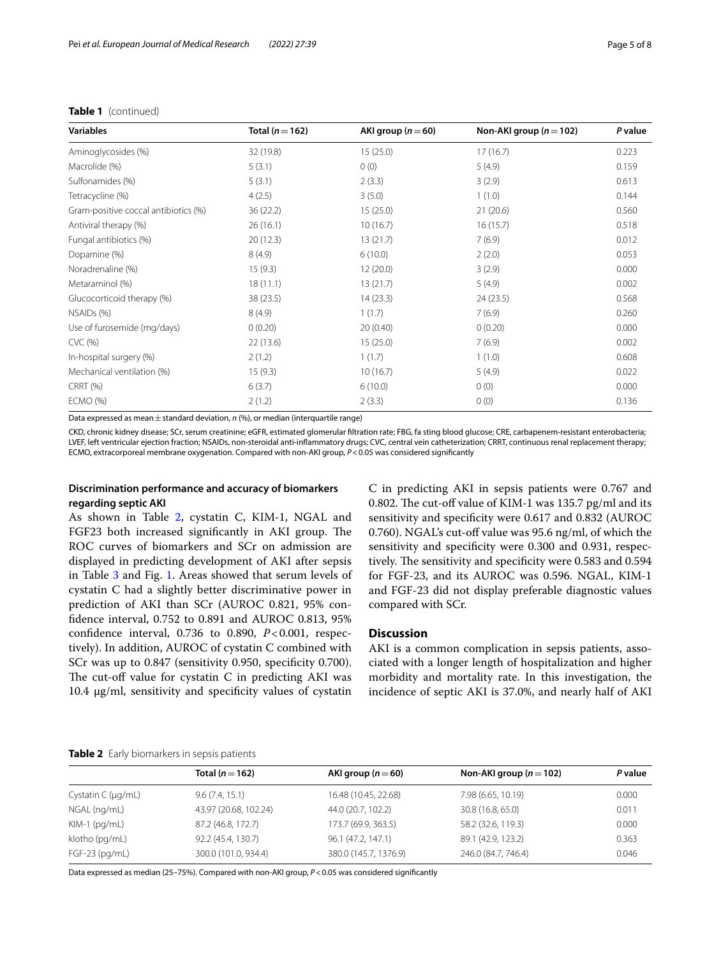### **Table 1** (continued)

| <b>Variables</b>                     | Total ( $n = 162$ ) | AKI group $(n=60)$ | Non-AKI group ( $n = 102$ ) | P value |
|--------------------------------------|---------------------|--------------------|-----------------------------|---------|
| Aminoglycosides (%)                  | 32 (19.8)           | 15(25.0)           | 17(16.7)                    | 0.223   |
| Macrolide (%)                        | 5(3.1)              | 0(0)               | 5(4.9)                      | 0.159   |
| Sulfonamides (%)                     | 5(3.1)              | 2(3.3)             | 3(2.9)                      | 0.613   |
| Tetracycline (%)                     | 4(2.5)              | 3(5.0)             | 1(1.0)                      | 0.144   |
| Gram-positive coccal antibiotics (%) | 36 (22.2)           | 15(25.0)           | 21(20.6)                    | 0.560   |
| Antiviral therapy (%)                | 26(16.1)            | 10(16.7)           | 16(15.7)                    | 0.518   |
| Fungal antibiotics (%)               | 20(12.3)            | 13(21.7)           | 7(6.9)                      | 0.012   |
| Dopamine (%)                         | 8(4.9)              | 6(10.0)            | 2(2.0)                      | 0.053   |
| Noradrenaline (%)                    | 15(9.3)             | 12(20.0)           | 3(2.9)                      | 0.000   |
| Metaraminol (%)                      | 18(11.1)            | 13(21.7)           | 5(4.9)                      | 0.002   |
| Glucocorticoid therapy (%)           | 38 (23.5)           | 14(23.3)           | 24 (23.5)                   | 0.568   |
| NSAIDs (%)                           | 8(4.9)              | 1(1.7)             | 7(6.9)                      | 0.260   |
| Use of furosemide (mg/days)          | 0(0.20)             | 20(0.40)           | 0(0.20)                     | 0.000   |
| CVC(%)                               | 22(13.6)            | 15(25.0)           | 7(6.9)                      | 0.002   |
| In-hospital surgery (%)              | 2(1.2)              | 1(1.7)             | 1(1.0)                      | 0.608   |
| Mechanical ventilation (%)           | 15(9.3)             | 10(16.7)           | 5(4.9)                      |         |
| <b>CRRT (%)</b>                      | 6(3.7)              | 6(10.0)<br>0(0)    |                             | 0.000   |
| ECMO (%)                             | 2(1.2)              | 2(3.3)             | 0(0)                        | 0.136   |

Data expressed as mean  $\pm$  standard deviation, *n* (%), or median (interquartile range)

CKD, chronic kidney disease; SCr, serum creatinine; eGFR, estimated glomerular fltration rate; FBG, fa sting blood glucose; CRE, carbapenem-resistant enterobacteria; LVEF, left ventricular ejection fraction; NSAIDs, non-steroidal anti-infammatory drugs; CVC, central vein catheterization; CRRT, continuous renal replacement therapy; ECMO, extracorporeal membrane oxygenation. Compared with non-AKI group, *P*<0.05 was considered signifcantly

### **Discrimination performance and accuracy of biomarkers regarding septic AKI**

As shown in Table [2,](#page-4-0) cystatin C, KIM-1, NGAL and FGF23 both increased significantly in AKI group. The ROC curves of biomarkers and SCr on admission are displayed in predicting development of AKI after sepsis in Table [3](#page-5-0) and Fig. [1](#page-5-1). Areas showed that serum levels of cystatin C had a slightly better discriminative power in prediction of AKI than SCr (AUROC 0.821, 95% confdence interval, 0.752 to 0.891 and AUROC 0.813, 95% confdence interval, 0.736 to 0.890, *P*<0.001, respectively). In addition, AUROC of cystatin C combined with SCr was up to 0.847 (sensitivity 0.950, specificity 0.700). The cut-off value for cystatin  $C$  in predicting AKI was 10.4 μg/ml, sensitivity and specifcity values of cystatin C in predicting AKI in sepsis patients were 0.767 and 0.802. The cut-off value of KIM-1 was 135.7 pg/ml and its sensitivity and specifcity were 0.617 and 0.832 (AUROC 0.760). NGAL's cut-off value was 95.6 ng/ml, of which the sensitivity and specifcity were 0.300 and 0.931, respectively. The sensitivity and specificity were 0.583 and 0.594 for FGF-23, and its AUROC was 0.596. NGAL, KIM-1 and FGF-23 did not display preferable diagnostic values compared with SCr.

### **Discussion**

AKI is a common complication in sepsis patients, associated with a longer length of hospitalization and higher morbidity and mortality rate. In this investigation, the incidence of septic AKI is 37.0%, and nearly half of AKI

### <span id="page-4-0"></span>**Table 2** Early biomarkers in sepsis patients

|                          | Total ( $n = 162$ )   | AKI group $(n=60)$    | Non-AKI group $(n=102)$ | P value |
|--------------------------|-----------------------|-----------------------|-------------------------|---------|
| Cystatin C ( $\mu$ g/mL) | 9.6(7.4, 15.1)        | 16.48 (10.45, 22.68)  | 7.98 (6.65, 10.19)      | 0.000   |
| NGAL (ng/mL)             | 43.97 (20.68, 102.24) | 44.0 (20.7, 102.2)    | 30.8 (16.8, 65.0)       | 0.011   |
| KIM-1 (pg/mL)            | 87.2 (46.8, 172.7)    | 173.7 (69.9, 363.5)   | 58.2 (32.6, 119.3)      | 0.000   |
| klotho (pg/mL)           | 92.2 (45.4, 130.7)    | 96.1 (47.2, 147.1)    | 89.1 (42.9, 123.2)      | 0.363   |
| $FGF-23$ (pg/mL)         | 300.0 (101.0, 934.4)  | 380.0 (145.7, 1376.9) | 246.0 (84.7, 746.4)     | 0.046   |

Data expressed as median (25–75%). Compared with non-AKI group, *P*<0.05 was considered signifcantly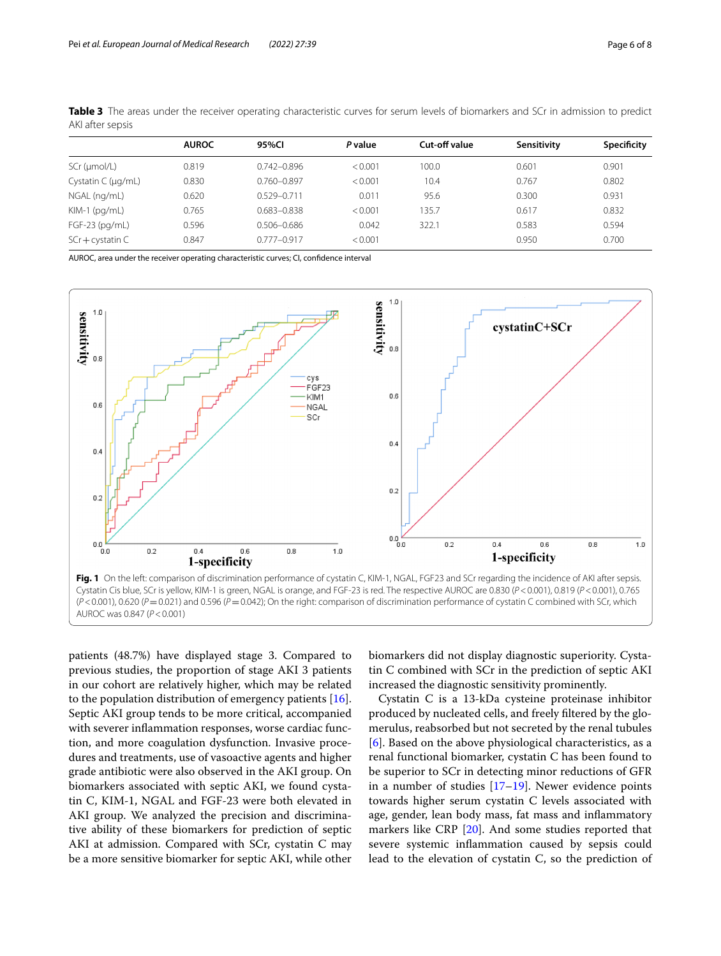|                          | <b>AUROC</b> | 95%CI           | P value | Cut-off value | Sensitivity | Specificity |
|--------------------------|--------------|-----------------|---------|---------------|-------------|-------------|
| SCr (µmol/L)             | 0.819        | $0.742 - 0.896$ | < 0.001 | 100.0         | 0.601       | 0.901       |
| Cystatin C ( $\mu$ g/mL) | 0.830        | $0.760 - 0.897$ | < 0.001 | 10.4          | 0.767       | 0.802       |
| NGAL (ng/mL)             | 0.620        | $0.529 - 0.711$ | 0.011   | 95.6          | 0.300       | 0.931       |
| $KIM-1$ ( $pq/mL$ )      | 0.765        | 0.683-0.838     | < 0.001 | 135.7         | 0.617       | 0.832       |
| $FGF-23$ (pg/mL)         | 0.596        | $0.506 - 0.686$ | 0.042   | 322.1         | 0.583       | 0.594       |
| $SCr + cystatin C$       | 0.847        | $0.777 - 0.917$ | < 0.001 |               | 0.950       | 0.700       |
|                          |              |                 |         |               |             |             |

<span id="page-5-0"></span>**Table 3** The areas under the receiver operating characteristic curves for serum levels of biomarkers and SCr in admission to predict AKI after sepsis

AUROC, area under the receiver operating characteristic curves; CI, confdence interval



<span id="page-5-1"></span>patients (48.7%) have displayed stage 3. Compared to previous studies, the proportion of stage AKI 3 patients in our cohort are relatively higher, which may be related to the population distribution of emergency patients [\[16](#page-7-10)]. Septic AKI group tends to be more critical, accompanied with severer infammation responses, worse cardiac function, and more coagulation dysfunction. Invasive procedures and treatments, use of vasoactive agents and higher grade antibiotic were also observed in the AKI group. On biomarkers associated with septic AKI, we found cystatin C, KIM-1, NGAL and FGF-23 were both elevated in AKI group. We analyzed the precision and discriminative ability of these biomarkers for prediction of septic AKI at admission. Compared with SCr, cystatin C may be a more sensitive biomarker for septic AKI, while other

biomarkers did not display diagnostic superiority. Cystatin C combined with SCr in the prediction of septic AKI increased the diagnostic sensitivity prominently.

Cystatin C is a 13-kDa cysteine proteinase inhibitor produced by nucleated cells, and freely fltered by the glomerulus, reabsorbed but not secreted by the renal tubules [[6\]](#page-7-0). Based on the above physiological characteristics, as a renal functional biomarker, cystatin C has been found to be superior to SCr in detecting minor reductions of GFR in a number of studies  $[17–19]$  $[17–19]$  $[17–19]$  $[17–19]$ . Newer evidence points towards higher serum cystatin C levels associated with age, gender, lean body mass, fat mass and infammatory markers like CRP [\[20](#page-7-13)]. And some studies reported that severe systemic infammation caused by sepsis could lead to the elevation of cystatin C, so the prediction of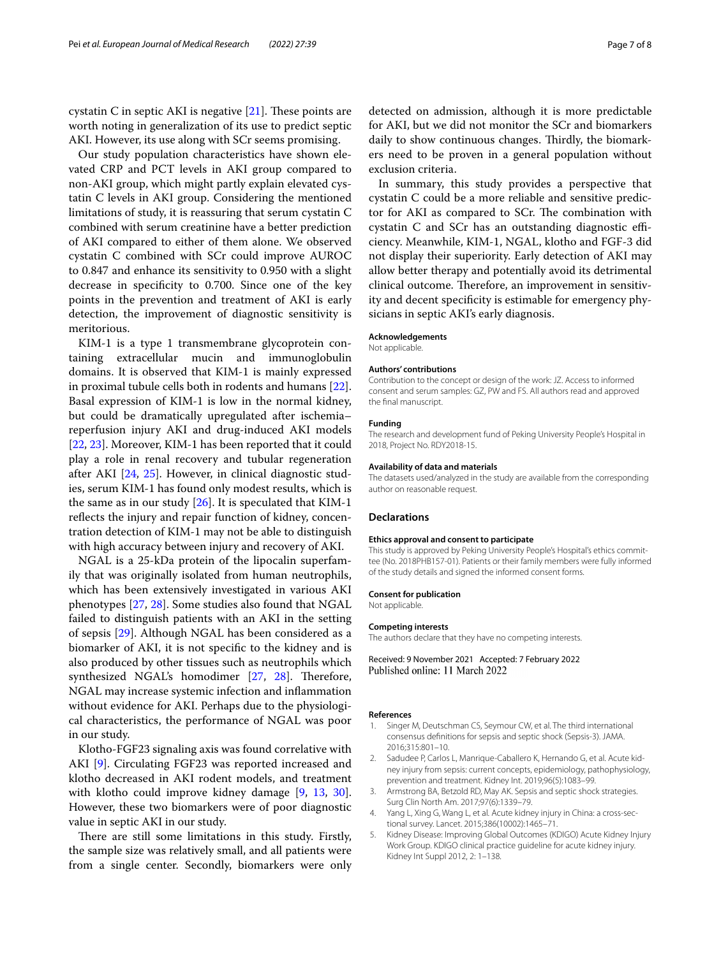cystatin C in septic AKI is negative  $[21]$  $[21]$ . These points are worth noting in generalization of its use to predict septic AKI. However, its use along with SCr seems promising.

Our study population characteristics have shown elevated CRP and PCT levels in AKI group compared to non-AKI group, which might partly explain elevated cystatin C levels in AKI group. Considering the mentioned limitations of study, it is reassuring that serum cystatin C combined with serum creatinine have a better prediction of AKI compared to either of them alone. We observed cystatin C combined with SCr could improve AUROC to 0.847 and enhance its sensitivity to 0.950 with a slight decrease in specifcity to 0.700. Since one of the key points in the prevention and treatment of AKI is early detection, the improvement of diagnostic sensitivity is meritorious.

KIM-1 is a type 1 transmembrane glycoprotein containing extracellular mucin and immunoglobulin domains. It is observed that KIM-1 is mainly expressed in proximal tubule cells both in rodents and humans [\[22](#page-7-15)]. Basal expression of KIM-1 is low in the normal kidney, but could be dramatically upregulated after ischemia– reperfusion injury AKI and drug-induced AKI models [[22,](#page-7-15) [23](#page-7-16)]. Moreover, KIM-1 has been reported that it could play a role in renal recovery and tubular regeneration after AKI [[24,](#page-7-17) [25](#page-7-18)]. However, in clinical diagnostic studies, serum KIM-1 has found only modest results, which is the same as in our study  $[26]$ . It is speculated that KIM-1 reflects the injury and repair function of kidney, concentration detection of KIM-1 may not be able to distinguish with high accuracy between injury and recovery of AKI.

NGAL is a 25-kDa protein of the lipocalin superfamily that was originally isolated from human neutrophils, which has been extensively investigated in various AKI phenotypes [[27,](#page-7-20) [28](#page-7-21)]. Some studies also found that NGAL failed to distinguish patients with an AKI in the setting of sepsis [[29\]](#page-7-22). Although NGAL has been considered as a biomarker of AKI, it is not specifc to the kidney and is also produced by other tissues such as neutrophils which synthesized NGAL's homodimer [[27,](#page-7-20) [28\]](#page-7-21). Therefore, NGAL may increase systemic infection and infammation without evidence for AKI. Perhaps due to the physiological characteristics, the performance of NGAL was poor in our study.

Klotho-FGF23 signaling axis was found correlative with AKI [\[9](#page-7-3)]. Circulating FGF23 was reported increased and klotho decreased in AKI rodent models, and treatment with klotho could improve kidney damage [\[9](#page-7-3), [13,](#page-7-7) [30](#page-7-23)]. However, these two biomarkers were of poor diagnostic value in septic AKI in our study.

There are still some limitations in this study. Firstly, the sample size was relatively small, and all patients were from a single center. Secondly, biomarkers were only

detected on admission, although it is more predictable for AKI, but we did not monitor the SCr and biomarkers daily to show continuous changes. Thirdly, the biomarkers need to be proven in a general population without exclusion criteria.

In summary, this study provides a perspective that cystatin C could be a more reliable and sensitive predictor for AKI as compared to SCr. The combination with cystatin C and SCr has an outstanding diagnostic efficiency. Meanwhile, KIM-1, NGAL, klotho and FGF-3 did not display their superiority. Early detection of AKI may allow better therapy and potentially avoid its detrimental clinical outcome. Therefore, an improvement in sensitivity and decent specifcity is estimable for emergency physicians in septic AKI's early diagnosis.

#### **Acknowledgements**

Not applicable.

### **Authors' contributions**

Contribution to the concept or design of the work: JZ. Access to informed consent and serum samples: GZ, PW and FS. All authors read and approved the fnal manuscript.

### **Funding**

The research and development fund of Peking University People's Hospital in 2018, Project No. RDY2018-15.

### **Availability of data and materials**

The datasets used/analyzed in the study are available from the corresponding author on reasonable request.

#### **Declarations**

#### **Ethics approval and consent to participate**

This study is approved by Peking University People's Hospital's ethics committee (No. 2018PHB157-01). Patients or their family members were fully informed of the study details and signed the informed consent forms.

#### **Consent for publication**

Not applicable.

#### **Competing interests**

The authors declare that they have no competing interests.

Received: 9 November 2021 Accepted: 7 February 2022 Published online: 11 March 2022

#### **References**

- <span id="page-6-0"></span>1. Singer M, Deutschman CS, Seymour CW, et al. The third international consensus defnitions for sepsis and septic shock (Sepsis-3). JAMA. 2016;315:801–10.
- <span id="page-6-1"></span>2. Sadudee P, Carlos L, Manrique-Caballero K, Hernando G, et al. Acute kidney injury from sepsis: current concepts, epidemiology, pathophysiology, prevention and treatment. Kidney Int. 2019;96(5):1083–99.
- <span id="page-6-2"></span>3. Armstrong BA, Betzold RD, May AK. Sepsis and septic shock strategies. Surg Clin North Am. 2017;97(6):1339–79.
- <span id="page-6-3"></span>4. Yang L, Xing G, Wang L, et al. Acute kidney injury in China: a cross-sectional survey. Lancet. 2015;386(10002):1465–71.
- <span id="page-6-4"></span>5. Kidney Disease: Improving Global Outcomes (KDIGO) Acute Kidney Injury Work Group. KDIGO clinical practice guideline for acute kidney injury. Kidney Int Suppl 2012, 2: 1–138.